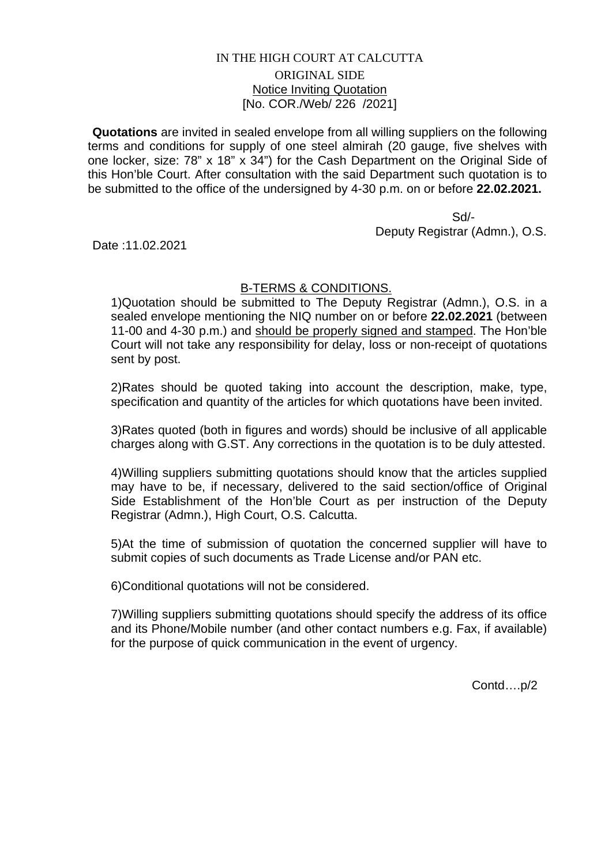## IN THE HIGH COURT AT CALCUTTA ORIGINAL SIDE Notice Inviting Quotation [No. COR./Web/ 226 /2021]

**Quotations** are invited in sealed envelope from all willing suppliers on the following terms and conditions for supply of one steel almirah (20 gauge, five shelves with one locker, size: 78" x 18" x 34") for the Cash Department on the Original Side of this Hon'ble Court. After consultation with the said Department such quotation is to be submitted to the office of the undersigned by 4-30 p.m. on or before **22.02.2021.**

 Sd/- Deputy Registrar (Admn.), O.S.

Date :11.02.2021

## B-TERMS & CONDITIONS.

1)Quotation should be submitted to The Deputy Registrar (Admn.), O.S. in a sealed envelope mentioning the NIQ number on or before **22.02.2021** (between 11-00 and 4-30 p.m.) and should be properly signed and stamped. The Hon'ble Court will not take any responsibility for delay, loss or non-receipt of quotations sent by post.

2)Rates should be quoted taking into account the description, make, type, specification and quantity of the articles for which quotations have been invited.

3)Rates quoted (both in figures and words) should be inclusive of all applicable charges along with G.ST. Any corrections in the quotation is to be duly attested.

4)Willing suppliers submitting quotations should know that the articles supplied may have to be, if necessary, delivered to the said section/office of Original Side Establishment of the Hon'ble Court as per instruction of the Deputy Registrar (Admn.), High Court, O.S. Calcutta.

5)At the time of submission of quotation the concerned supplier will have to submit copies of such documents as Trade License and/or PAN etc.

6)Conditional quotations will not be considered.

7)Willing suppliers submitting quotations should specify the address of its office and its Phone/Mobile number (and other contact numbers e.g. Fax, if available) for the purpose of quick communication in the event of urgency.

Contd….p/2